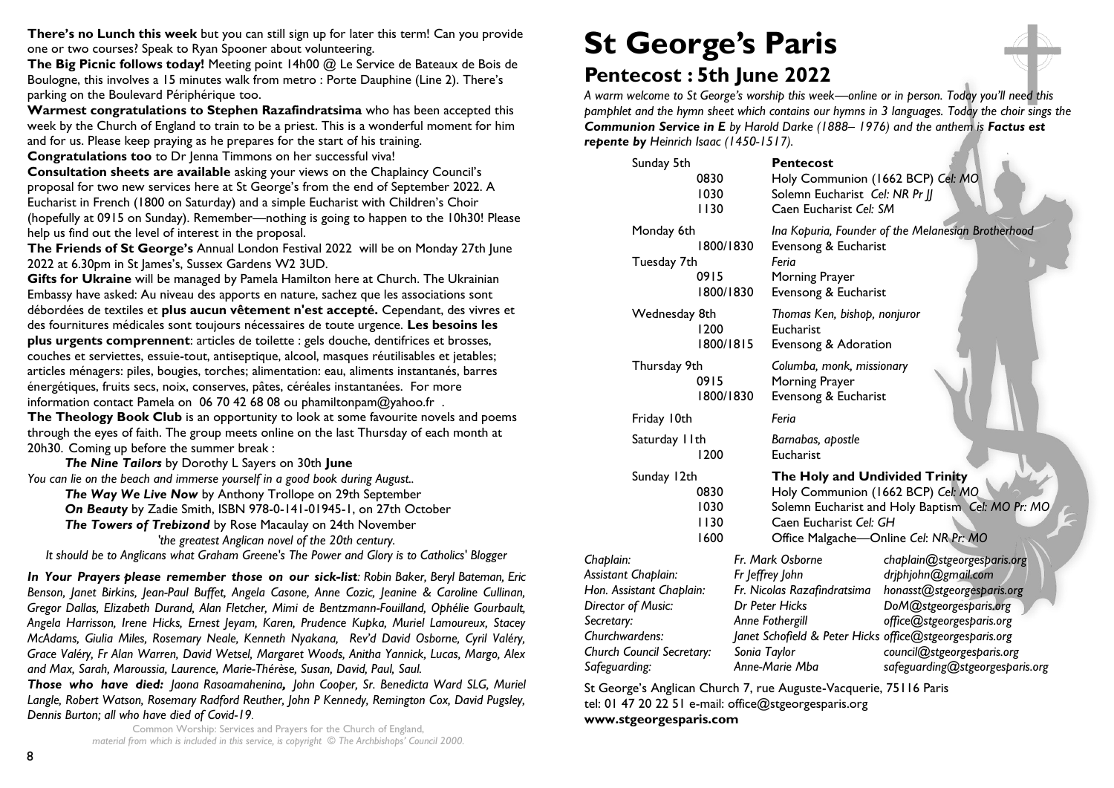**There's no Lunch this week** but you can still sign up for later this term! Can you provide one or two courses? Speak to Ryan Spooner about volunteering.

**The Big Picnic follows today!** Meeting point 14h00 @ Le Service de Bateaux de Bois de Boulogne, this involves a 15 minutes walk from metro : Porte Dauphine (Line 2). There's parking on the Boulevard Périphérique too.

**Warmest congratulations to Stephen Razafindratsima** who has been accepted this week by the Church of England to train to be a priest. This is a wonderful moment for him and for us. Please keep praying as he prepares for the start of his training.

**Congratulations too** to Dr Jenna Timmons on her successful viva!

**Consultation sheets are available** asking your views on the Chaplaincy Council's proposal for two new services here at St George's from the end of September 2022. A Eucharist in French (1800 on Saturday) and a simple Eucharist with Children's Choir (hopefully at 0915 on Sunday). Remember—nothing is going to happen to the 10h30! Please help us find out the level of interest in the proposal.

**The Friends of St George's** Annual London Festival 2022 will be on Monday 27th June 2022 at 6.30pm in St James's, Sussex Gardens W2 3UD.

**Gifts for Ukraine** will be managed by Pamela Hamilton here at Church. The Ukrainian Embassy have asked: Au niveau des apports en nature, sachez que les associations sont débordées de textiles et **plus aucun vêtement n'est accepté.** Cependant, des vivres et des fournitures médicales sont toujours nécessaires de toute urgence. **Les besoins les plus urgents comprennent**: articles de toilette : gels douche, dentifrices et brosses, couches et serviettes, essuie-tout, antiseptique, alcool, masques réutilisables et jetables; articles ménagers: piles, bougies, torches; alimentation: eau, aliments instantanés, barres énergétiques, fruits secs, noix, conserves, pâtes, céréales instantanées. For more information contact Pamela on 06 70 42 68 08 ou phamiltonpam@yahoo.fr . **The Theology Book Club** is an opportunity to look at some favourite novels and poems through the eyes of faith. The group meets online on the last Thursday of each month at

20h30. Coming up before the summer break :

*The Nine Tailors* by Dorothy L Sayers on 30th **June** *You can lie on the beach and immerse yourself in a good book during August..*

*The Way We Live Now* by Anthony Trollope on 29th September

*On Beauty* by Zadie Smith, ISBN 978-0-141-01945-1, on 27th October

*The Towers of Trebizond* by Rose Macaulay on 24th November

*'the greatest Anglican novel of the 20th century. It should be to Anglicans what Graham Greene's The Power and Glory is to Catholics' Blogger* 

*In Your Prayers please remember those on our sick-list: Robin Baker, Beryl Bateman, Eric Benson, Janet Birkins, Jean-Paul Buffet, Angela Casone, Anne Cozic, Jeanine & Caroline Cullinan, Gregor Dallas, Elizabeth Durand, Alan Fletcher, Mimi de Bentzmann-Fouilland, Ophélie Gourbault,* 

*Angela Harrisson, Irene Hicks, Ernest Jeyam, Karen, Prudence Kupka, Muriel Lamoureux, Stacey McAdams, Giulia Miles, Rosemary Neale, Kenneth Nyakana, Rev'd David Osborne, Cyril Valéry, Grace Valéry, Fr Alan Warren, David Wetsel, Margaret Woods, Anitha Yannick, Lucas, Margo, Alex and Max, Sarah, Maroussia, Laurence, Marie-Thérèse, Susan, David, Paul, Saul.* 

*Those who have died: Jaona Rasoamahenina, John Cooper, Sr. Benedicta Ward SLG, Muriel Langle, Robert Watson, Rosemary Radford Reuther, John P Kennedy, Remington Cox, David Pugsley, Dennis Burton; all who have died of Covid-19.*

Common Worship: Services and Prayers for the Church of England, *material from which is included in this service, is copyright © The Archbishops' Council 2000.* 

# **St George's Paris**

## **Pentecost : 5th June 2022**

*A warm welcome to St George's worship this week—online or in person. Today you'll need this pamphlet and the hymn sheet which contains our hymns in 3 languages. Today the choir sings the Communion Service in E by Harold Darke (1888– 1976) and the anthem is Factus est repente by Heinrich Isaac (1450-1517).*

| Sunday 5th                                                                                                         | 0830<br>1030<br>1130           | <b>Pentecost</b><br>Holy Communion (1662 BCP) Cel: MO<br>Solemn Eucharist Cel: NR Pr JJ<br>Caen Eucharist Cel: SM                                                                                                                                                                                             |
|--------------------------------------------------------------------------------------------------------------------|--------------------------------|---------------------------------------------------------------------------------------------------------------------------------------------------------------------------------------------------------------------------------------------------------------------------------------------------------------|
| Monday 6th<br>Tuesday 7th                                                                                          | 1800/1830<br>0915<br>1800/1830 | Ina Kopuria, Founder of the Melanesian Brotherhood<br>Evensong & Eucharist<br>Feria<br>Morning Prayer<br>Evensong & Eucharist                                                                                                                                                                                 |
| Wednesday 8th                                                                                                      | 1200<br>1800/1815              | Thomas Ken, bishop, nonjuror<br>Eucharist<br>Evensong & Adoration                                                                                                                                                                                                                                             |
| Thursday 9th<br>0915<br>1800/1830                                                                                  |                                | Columba, monk, missionary<br>Morning Prayer<br>Evensong & Eucharist                                                                                                                                                                                                                                           |
| Friday 10th                                                                                                        |                                | Feria                                                                                                                                                                                                                                                                                                         |
| Saturday I I th                                                                                                    | 1200                           | Barnabas, apostle<br>Eucharist                                                                                                                                                                                                                                                                                |
| Sunday 12th                                                                                                        | 0830<br>1030<br>1130<br>1600   | The Holy and Undivided Trinity<br>Holy Communion (1662 BCP) Cel: MO<br>Solemn Eucharist and Holy Baptism Cel: MO Pr: MO<br>Caen Eucharist Cel: GH<br>Office Malgache-Online Cel: NR Pr: MO                                                                                                                    |
| Chaplain:<br>Assistant Chaplain:<br>Hon. Assistant Chaplain:<br>Director of Music:<br>Secretary:<br>Churchwardens: |                                | Fr. Mark Osborne<br>chaplain@stgeorgesparis.org<br>Fr Jeffrey John<br>driphjohn@gmail.com<br>Fr. Nicolas Razafindratsima<br>honasst@stgeorgesparis.org<br>Dr Peter Hicks<br>DoM@stgeorgesparis.org<br>Anne Fothergill<br>office@stgeorgesparis.org<br>Janet Schofield & Peter Hicks office@stgeorgesparis.org |

St George's Anglican Church 7, rue Auguste-Vacquerie, 75116 Paris tel: 01 47 20 22 51 e-mail: [office@stgeorgesparis.org](mailto:office@stgeorgesparis.com)  **[www.stgeorgesparis.com](http://www.stgeorgesparis.com/)**

*Church Council Secretary: Sonia Taylor council@stgeorgesparis.org Safeguarding: Anne-Marie Mba safeguarding@stgeorgesparis.org*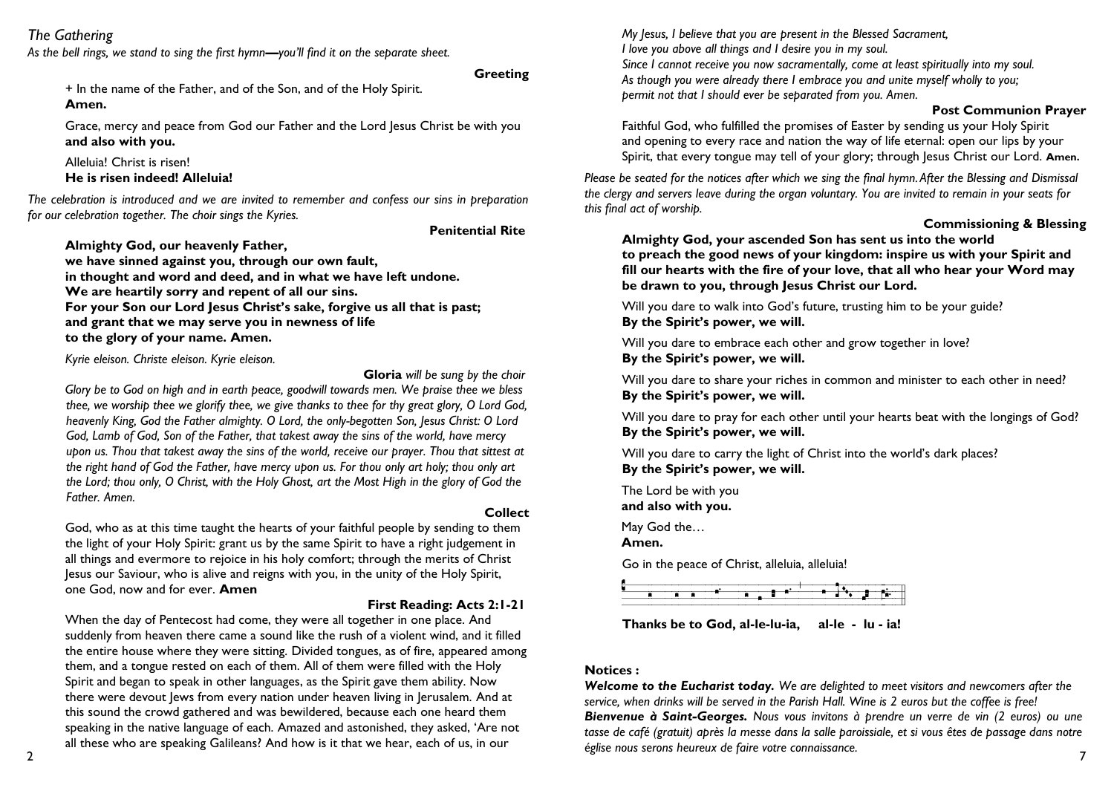### *The Gathering*

*As the bell rings, we stand to sing the first hymn—you'll find it on the separate sheet.*

### **Greeting**

+ In the name of the Father, and of the Son, and of the Holy Spirit. **Amen.**

Grace, mercy and peace from God our Father and the Lord Jesus Christ be with you **and also with you.**

Alleluia! Christ is risen! **He is risen indeed! Alleluia!**

*The celebration is introduced and we are invited to remember and confess our sins in preparation for our celebration together. The choir sings the Kyries.*

### **Penitential Rite**

**Almighty God, our heavenly Father,** 

**we have sinned against you, through our own fault, in thought and word and deed, and in what we have left undone. We are heartily sorry and repent of all our sins. For your Son our Lord Jesus Christ's sake, forgive us all that is past; and grant that we may serve you in newness of life to the glory of your name. Amen.**

*Kyrie eleison. Christe eleison. Kyrie eleison.*

**Gloria** *will be sung by the choir*

*Glory be to God on high and in earth peace, goodwill towards men. We praise thee we bless thee, we worship thee we glorify thee, we give thanks to thee for thy great glory, O Lord God, heavenly King, God the Father almighty. O Lord, the only-begotten Son, Jesus Christ: O Lord God, Lamb of God, Son of the Father, that takest away the sins of the world, have mercy upon us. Thou that takest away the sins of the world, receive our prayer. Thou that sittest at the right hand of God the Father, have mercy upon us. For thou only art holy; thou only art the Lord; thou only, O Christ, with the Holy Ghost, art the Most High in the glory of God the Father. Amen.*

### God, who as at this time taught the hearts of your faithful people by sending to them the light of your Holy Spirit: grant us by the same Spirit to have a right judgement in all things and evermore to rejoice in his holy comfort; through the merits of Christ Jesus our Saviour, who is alive and reigns with you, in the unity of the Holy Spirit, one God, now and for ever. **Amen**

### **First Reading: Acts 2:1-21**

**Collect**

When the day of Pentecost had come, they were all together in one place. And suddenly from heaven there came a sound like the rush of a violent wind, and it filled the entire house where they were sitting. Divided tongues, as of fire, appeared among them, and a tongue rested on each of them. All of them were filled with the Holy Spirit and began to speak in other languages, as the Spirit gave them ability. Now there were devout Jews from every nation under heaven living in Jerusalem. And at this sound the crowd gathered and was bewildered, because each one heard them speaking in the native language of each. Amazed and astonished, they asked, 'Are not all these who are speaking Galileans? And how is it that we hear, each of us, in our

*My Jesus, I believe that you are present in the Blessed Sacrament, I love you above all things and I desire you in my soul. Since I cannot receive you now sacramentally, come at least spiritually into my soul. As though you were already there I embrace you and unite myself wholly to you; permit not that I should ever be separated from you. Amen.*

### **Post Communion Prayer**

Faithful God, who fulfilled the promises of Easter by sending us your Holy Spirit and opening to every race and nation the way of life eternal: open our lips by your Spirit, that every tongue may tell of your glory; through Jesus Christ our Lord. Amen.

*Please be seated for the notices after which we sing the final hymn. After the Blessing and Dismissal the clergy and servers leave during the organ voluntary. You are invited to remain in your seats for this final act of worship.* 

### **Commissioning & Blessing**

**Almighty God, your ascended Son has sent us into the world to preach the good news of your kingdom: inspire us with your Spirit and fill our hearts with the fire of your love, that all who hear your Word may be drawn to you, through Jesus Christ our Lord.** 

Will you dare to walk into God's future, trusting him to be your guide? **By the Spirit's power, we will.**

Will you dare to embrace each other and grow together in love? **By the Spirit's power, we will.**

Will you dare to share your riches in common and minister to each other in need? **By the Spirit's power, we will.**

Will you dare to pray for each other until your hearts beat with the longings of God? **By the Spirit's power, we will.**

Will you dare to carry the light of Christ into the world's dark places? **By the Spirit's power, we will.**

The Lord be with you **and also with you.**

May God the…

**Amen.**

Go in the peace of Christ, alleluia, alleluia!



**Thanks be to God, al-le-lu-ia, al-le - lu - ia!**

### **Notices :**

*Welcome to the Eucharist today. We are delighted to meet visitors and newcomers after the service, when drinks will be served in the Parish Hall. Wine is 2 euros but the coffee is free! Bienvenue à Saint-Georges. Nous vous invitons à prendre un verre de vin (2 euros) ou une tasse de café (gratuit) après la messe dans la salle paroissiale, et si vous êtes de passage dans notre église nous serons heureux de faire votre connaissance.*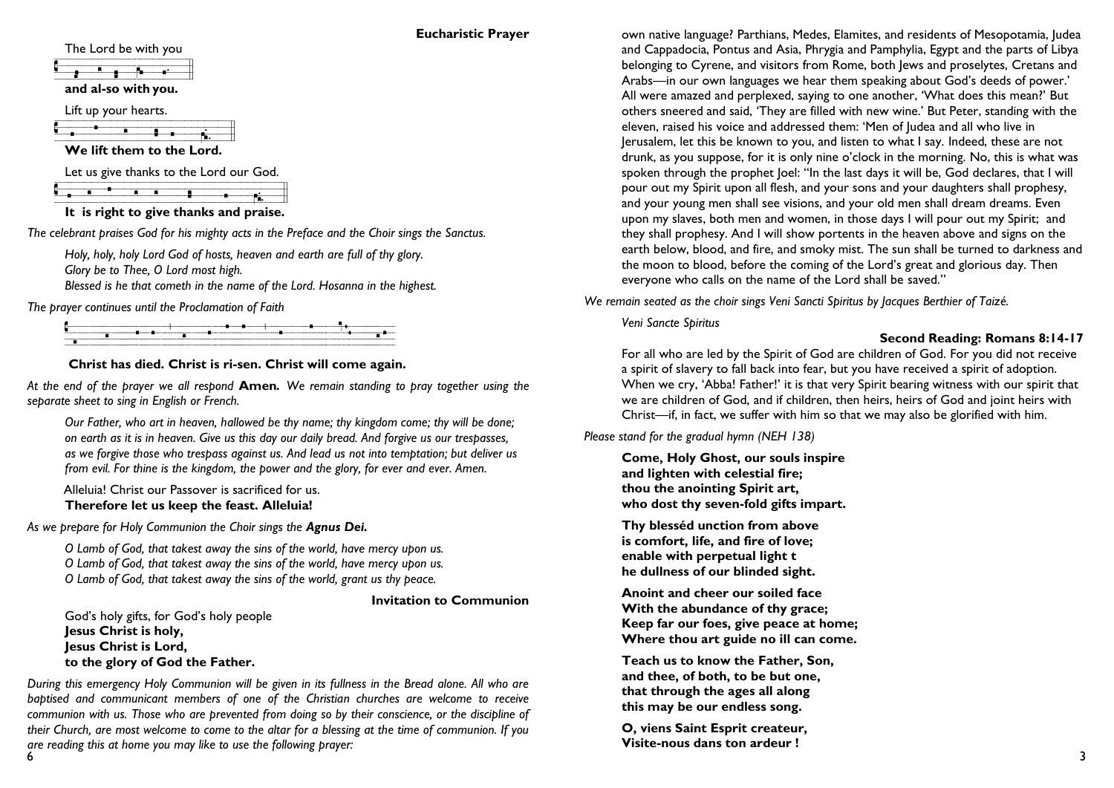### **Eucharistic Prayer**

The Lord be with you

|  | and al-so with you. |  |  |
|--|---------------------|--|--|

Lift up your hearts.

**C**<br> **C**<br> **We lift them to the Lord.** 

Let us give thanks to the Lord our God.

|  |  |  |  |  | $\frac{1}{2}$ and $\frac{1}{2}$ is a set to the $\frac{1}{2}$ of $\frac{1}{2}$ of $\frac{1}{2}$ of $\frac{1}{2}$ |  |
|--|--|--|--|--|------------------------------------------------------------------------------------------------------------------|--|
|  |  |  |  |  |                                                                                                                  |  |
|  |  |  |  |  |                                                                                                                  |  |
|  |  |  |  |  |                                                                                                                  |  |
|  |  |  |  |  | It is right to give thanks and praise.                                                                           |  |

*The celebrant praises God for his mighty acts in the Preface and the Choir sings the Sanctus.*

*Holy, holy, holy Lord God of hosts, heaven and earth are full of thy glory. Glory be to Thee, O Lord most high. Blessed is he that cometh in the name of the Lord. Hosanna in the highest.* 

*The prayer continues until the Proclamation of Faith*

### **Christ has died. Christ is ri-sen. Christ will come again.**

*At the end of the prayer we all respond* **Amen***. We remain standing to pray together using the separate sheet to sing in English or French.*

*Our Father, who art in heaven, hallowed be thy name; thy kingdom come; thy will be done; on earth as it is in heaven. Give us this day our daily bread. And forgive us our trespasses, as we forgive those who trespass against us. And lead us not into temptation; but deliver us from evil. For thine is the kingdom, the power and the glory, for ever and ever. Amen.*

Alleluia! Christ our Passover is sacrificed for us.

### **Therefore let us keep the feast. Alleluia!**

*As we prepare for Holy Communion the Choir sings the Agnus Dei.*

*O Lamb of God, that takest away the sins of the world, have mercy upon us. O Lamb of God, that takest away the sins of the world, have mercy upon us. O Lamb of God, that takest away the sins of the world, grant us thy peace.*

### **Invitation to Communion**

God's holy gifts, for God's holy people **Jesus Christ is holy, Jesus Christ is Lord, to the glory of God the Father.**

*During this emergency Holy Communion will be given in its fullness in the Bread alone. All who are baptised and communicant members of one of the Christian churches are welcome to receive communion with us. Those who are prevented from doing so by their conscience, or the discipline of their Church, are most welcome to come to the altar for a blessing at the time of communion. If you are reading this at home you may like to use the following prayer:*

own native language? Parthians, Medes, Elamites, and residents of Mesopotamia, Judea and Cappadocia, Pontus and Asia, Phrygia and Pamphylia, Egypt and the parts of Libya belonging to Cyrene, and visitors from Rome, both Jews and proselytes, Cretans and Arabs—in our own languages we hear them speaking about God's deeds of power.' All were amazed and perplexed, saying to one another, 'What does this mean?' But others sneered and said, 'They are filled with new wine.' But Peter, standing with the eleven, raised his voice and addressed them: 'Men of Judea and all who live in Jerusalem, let this be known to you, and listen to what I say. Indeed, these are not drunk, as you suppose, for it is only nine o'clock in the morning. No, this is what was spoken through the prophet loel: "In the last days it will be, God declares, that I will pour out my Spirit upon all flesh, and your sons and your daughters shall prophesy, and your young men shall see visions, and your old men shall dream dreams. Even upon my slaves, both men and women, in those days I will pour out my Spirit; and they shall prophesy. And I will show portents in the heaven above and signs on the earth below, blood, and fire, and smoky mist. The sun shall be turned to darkness and the moon to blood, before the coming of the Lord's great and glorious day. Then everyone who calls on the name of the Lord shall be saved."

*We remain seated as the choir sings Veni Sancti Spiritus by Jacques Berthier of Taizé.* 

*Veni Sancte Spiritus*

### **Second Reading: Romans 8:14-17**

For all who are led by the Spirit of God are children of God. For you did not receive a spirit of slavery to fall back into fear, but you have received a spirit of adoption. When we cry, 'Abba! Father!' it is that very Spirit bearing witness with our spirit that we are children of God, and if children, then heirs, heirs of God and joint heirs with Christ—if, in fact, we suffer with him so that we may also be glorified with him.

*Please stand for the gradual hymn (NEH 138)*

**Come, Holy Ghost, our souls inspire and lighten with celestial fire; thou the anointing Spirit art, who dost thy seven-fold gifts impart.**

**Thy blesséd unction from above is comfort, life, and fire of love; enable with perpetual light t he dullness of our blinded sight.**

**Anoint and cheer our soiled face With the abundance of thy grace; Keep far our foes, give peace at home; Where thou art guide no ill can come.**

**Teach us to know the Father, Son, and thee, of both, to be but one, that through the ages all along this may be our endless song.**

**O, viens Saint Esprit createur, Visite-nous dans ton ardeur !**